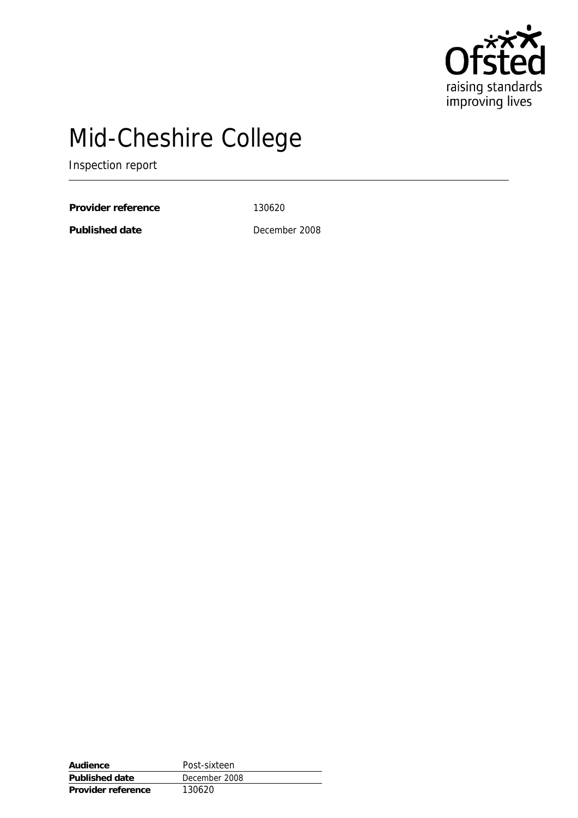

# Mid-Cheshire College

Inspection report

Provider reference 130620

**Published date** December 2008

| Audience           | Post-sixteen  |
|--------------------|---------------|
| Published date     | December 2008 |
| Provider reference | 130620        |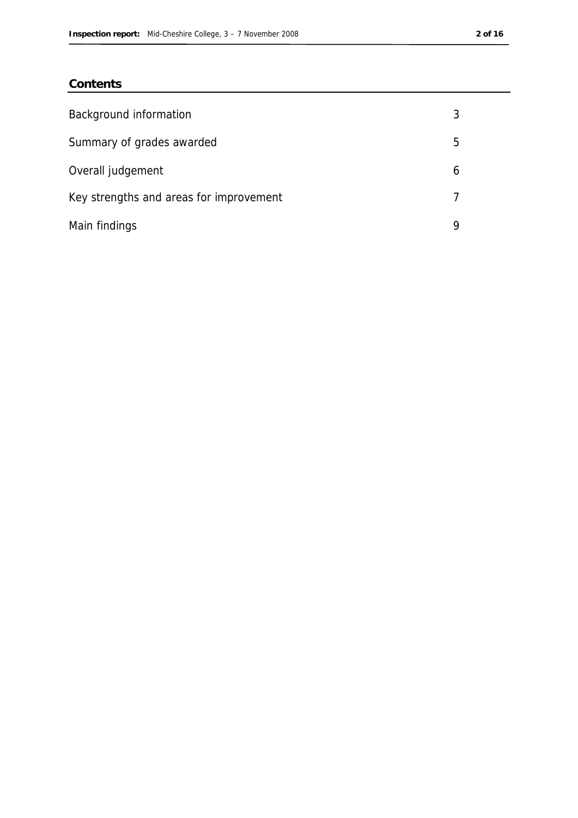## **Contents**

| Background information                  |   |
|-----------------------------------------|---|
| Summary of grades awarded               | 5 |
| Overall judgement                       | b |
| Key strengths and areas for improvement |   |
| Main findings                           | Q |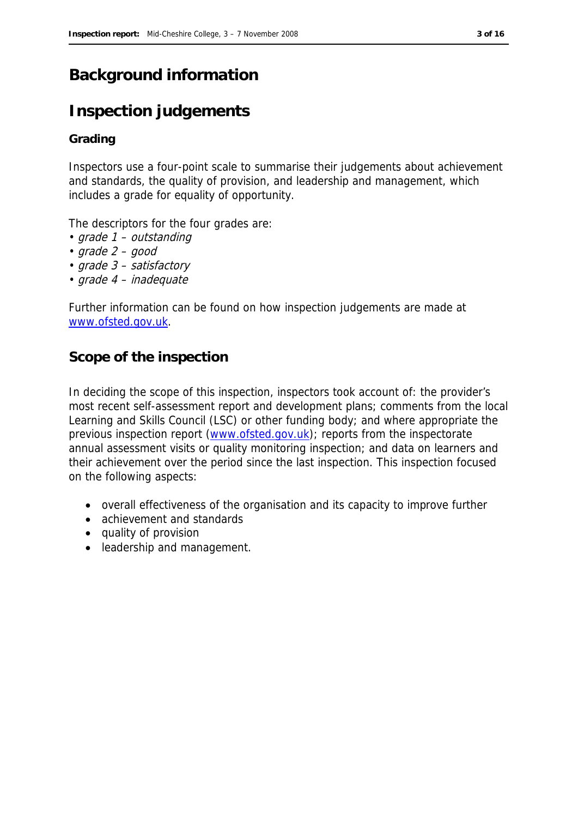## **Background information**

## **Inspection judgements**

## **Grading**

Inspectors use a four-point scale to summarise their judgements about achievement and standards, the quality of provision, and leadership and management, which includes a grade for equality of opportunity.

The descriptors for the four grades are:

- grade 1 outstanding
- $grade 2 good$
- grade 3 satisfactory
- grade 4 inadequate

Further information can be found on how inspection judgements are made at www.ofsted.gov.uk.

## **Scope of the inspection**

In deciding the scope of this inspection, inspectors took account of: the provider's most recent self-assessment report and development plans; comments from the local Learning and Skills Council (LSC) or other funding body; and where appropriate the previous inspection report (www.ofsted.gov.uk); reports from the inspectorate annual assessment visits or quality monitoring inspection; and data on learners and their achievement over the period since the last inspection. This inspection focused on the following aspects:

- overall effectiveness of the organisation and its capacity to improve further
- achievement and standards
- quality of provision
- leadership and management.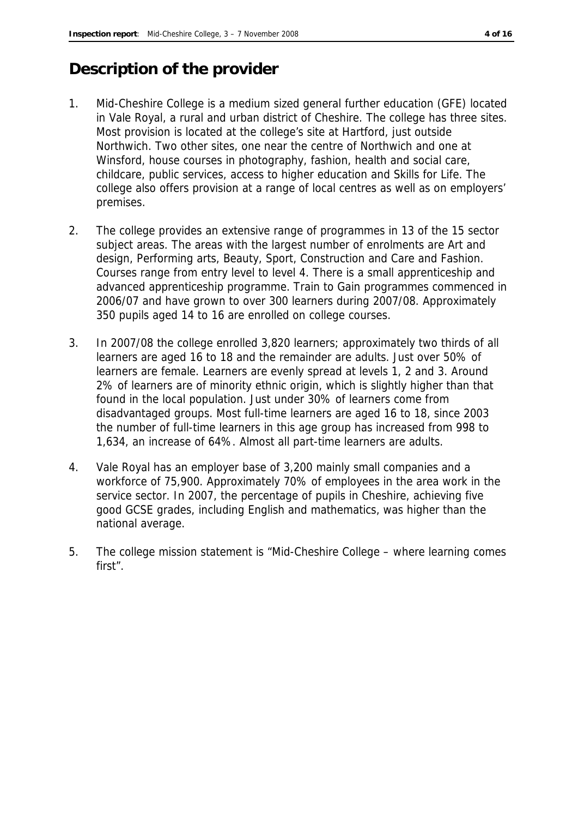## **Description of the provider**

- 1. Mid-Cheshire College is a medium sized general further education (GFE) located in Vale Royal, a rural and urban district of Cheshire. The college has three sites. Most provision is located at the college's site at Hartford, just outside Northwich. Two other sites, one near the centre of Northwich and one at Winsford, house courses in photography, fashion, health and social care, childcare, public services, access to higher education and Skills for Life. The college also offers provision at a range of local centres as well as on employers' premises.
- 2. The college provides an extensive range of programmes in 13 of the 15 sector subject areas. The areas with the largest number of enrolments are Art and design, Performing arts, Beauty, Sport, Construction and Care and Fashion. Courses range from entry level to level 4. There is a small apprenticeship and advanced apprenticeship programme. Train to Gain programmes commenced in 2006/07 and have grown to over 300 learners during 2007/08. Approximately 350 pupils aged 14 to 16 are enrolled on college courses.
- 3. In 2007/08 the college enrolled 3,820 learners; approximately two thirds of all learners are aged 16 to 18 and the remainder are adults. Just over 50% of learners are female. Learners are evenly spread at levels 1, 2 and 3. Around 2% of learners are of minority ethnic origin, which is slightly higher than that found in the local population. Just under 30% of learners come from disadvantaged groups. Most full-time learners are aged 16 to 18, since 2003 the number of full-time learners in this age group has increased from 998 to 1,634, an increase of 64%. Almost all part-time learners are adults.
- 4. Vale Royal has an employer base of 3,200 mainly small companies and a workforce of 75,900. Approximately 70% of employees in the area work in the service sector. In 2007, the percentage of pupils in Cheshire, achieving five good GCSE grades, including English and mathematics, was higher than the national average.
- 5. The college mission statement is "Mid-Cheshire College where learning comes first".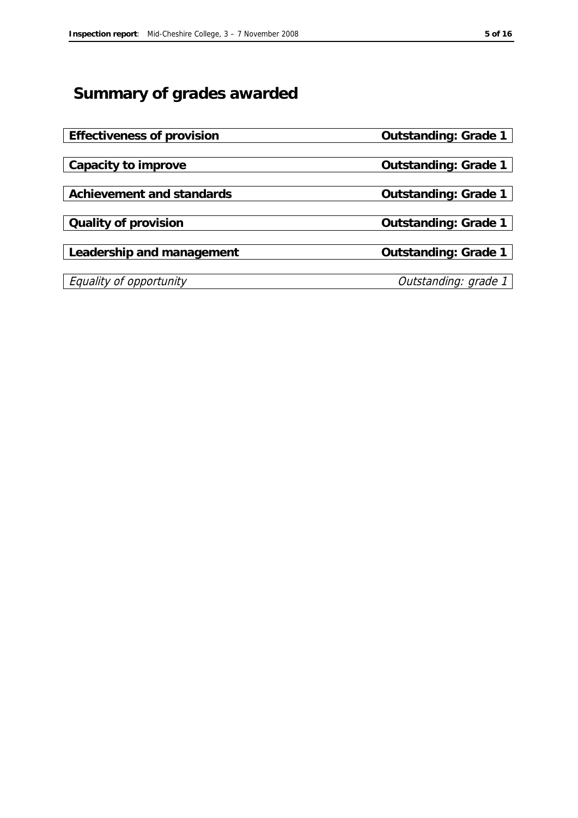## **Summary of grades awarded**

| Effectiveness of provision | Outstanding: Grade 1 |
|----------------------------|----------------------|
|                            |                      |
| Capacity to improve        | Outstanding: Grade 1 |
|                            |                      |
| Achievement and standards  | Outstanding: Grade 1 |
|                            |                      |
| Quality of provision       | Outstanding: Grade 1 |
|                            |                      |
| Leadership and management  | Outstanding: Grade 1 |
|                            |                      |
| Equality of opportunity    | Outstanding: grade 1 |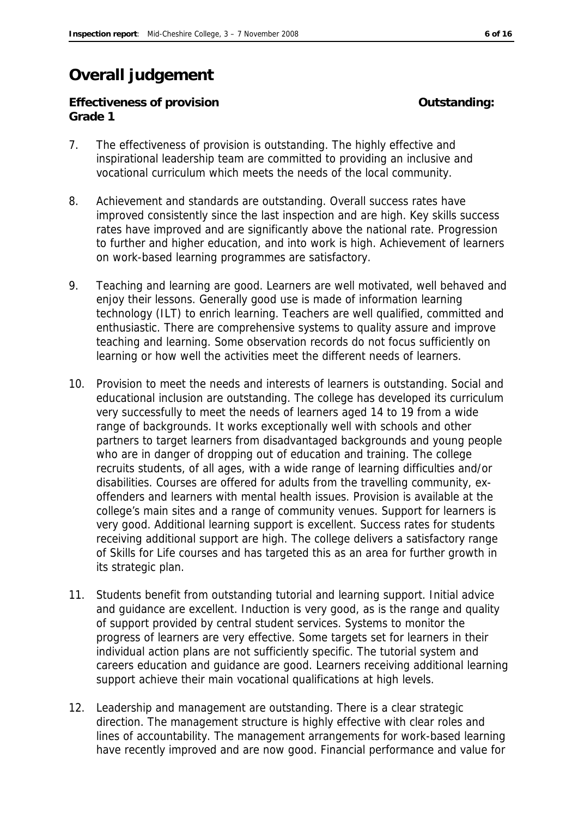## **Overall judgement**

**Effectiveness of provision Outstanding: Grade 1**

- 7. The effectiveness of provision is outstanding. The highly effective and inspirational leadership team are committed to providing an inclusive and vocational curriculum which meets the needs of the local community.
- 8. Achievement and standards are outstanding. Overall success rates have improved consistently since the last inspection and are high. Key skills success rates have improved and are significantly above the national rate. Progression to further and higher education, and into work is high. Achievement of learners on work-based learning programmes are satisfactory.
- 9. Teaching and learning are good. Learners are well motivated, well behaved and enjoy their lessons. Generally good use is made of information learning technology (ILT) to enrich learning. Teachers are well qualified, committed and enthusiastic. There are comprehensive systems to quality assure and improve teaching and learning. Some observation records do not focus sufficiently on learning or how well the activities meet the different needs of learners.
- 10. Provision to meet the needs and interests of learners is outstanding. Social and educational inclusion are outstanding. The college has developed its curriculum very successfully to meet the needs of learners aged 14 to 19 from a wide range of backgrounds. It works exceptionally well with schools and other partners to target learners from disadvantaged backgrounds and young people who are in danger of dropping out of education and training. The college recruits students, of all ages, with a wide range of learning difficulties and/or disabilities. Courses are offered for adults from the travelling community, exoffenders and learners with mental health issues. Provision is available at the college's main sites and a range of community venues. Support for learners is very good. Additional learning support is excellent. Success rates for students receiving additional support are high. The college delivers a satisfactory range of Skills for Life courses and has targeted this as an area for further growth in its strategic plan.
- 11. Students benefit from outstanding tutorial and learning support. Initial advice and guidance are excellent. Induction is very good, as is the range and quality of support provided by central student services. Systems to monitor the progress of learners are very effective. Some targets set for learners in their individual action plans are not sufficiently specific. The tutorial system and careers education and guidance are good. Learners receiving additional learning support achieve their main vocational qualifications at high levels.
- 12. Leadership and management are outstanding. There is a clear strategic direction. The management structure is highly effective with clear roles and lines of accountability. The management arrangements for work-based learning have recently improved and are now good. Financial performance and value for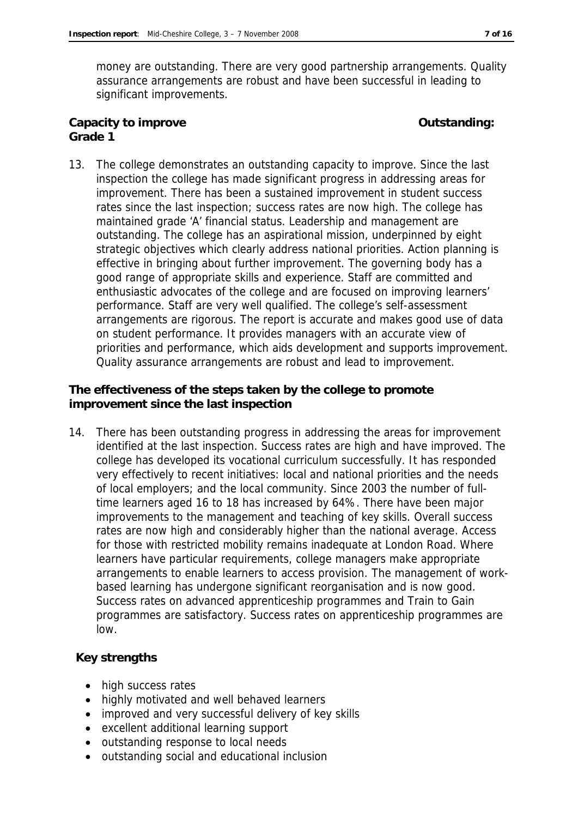money are outstanding. There are very good partnership arrangements. Quality assurance arrangements are robust and have been successful in leading to significant improvements.

**Capacity to improve Capacity to improve Capacity Outstanding: Outstanding: Grade 1**

13. The college demonstrates an outstanding capacity to improve. Since the last inspection the college has made significant progress in addressing areas for improvement. There has been a sustained improvement in student success rates since the last inspection; success rates are now high. The college has maintained grade 'A' financial status. Leadership and management are outstanding. The college has an aspirational mission, underpinned by eight strategic objectives which clearly address national priorities. Action planning is effective in bringing about further improvement. The governing body has a good range of appropriate skills and experience. Staff are committed and enthusiastic advocates of the college and are focused on improving learners' performance. Staff are very well qualified. The college's self-assessment arrangements are rigorous. The report is accurate and makes good use of data on student performance. It provides managers with an accurate view of priorities and performance, which aids development and supports improvement. Quality assurance arrangements are robust and lead to improvement.

**The effectiveness of the steps taken by the college to promote improvement since the last inspection**

14. There has been outstanding progress in addressing the areas for improvement identified at the last inspection. Success rates are high and have improved. The college has developed its vocational curriculum successfully. It has responded very effectively to recent initiatives: local and national priorities and the needs of local employers; and the local community. Since 2003 the number of fulltime learners aged 16 to 18 has increased by 64%. There have been major improvements to the management and teaching of key skills. Overall success rates are now high and considerably higher than the national average. Access for those with restricted mobility remains inadequate at London Road. Where learners have particular requirements, college managers make appropriate arrangements to enable learners to access provision. The management of workbased learning has undergone significant reorganisation and is now good. Success rates on advanced apprenticeship programmes and Train to Gain programmes are satisfactory. Success rates on apprenticeship programmes are low.

## **Key strengths**

- high success rates
- highly motivated and well behaved learners
- improved and very successful delivery of key skills
- excellent additional learning support
- outstanding response to local needs
- outstanding social and educational inclusion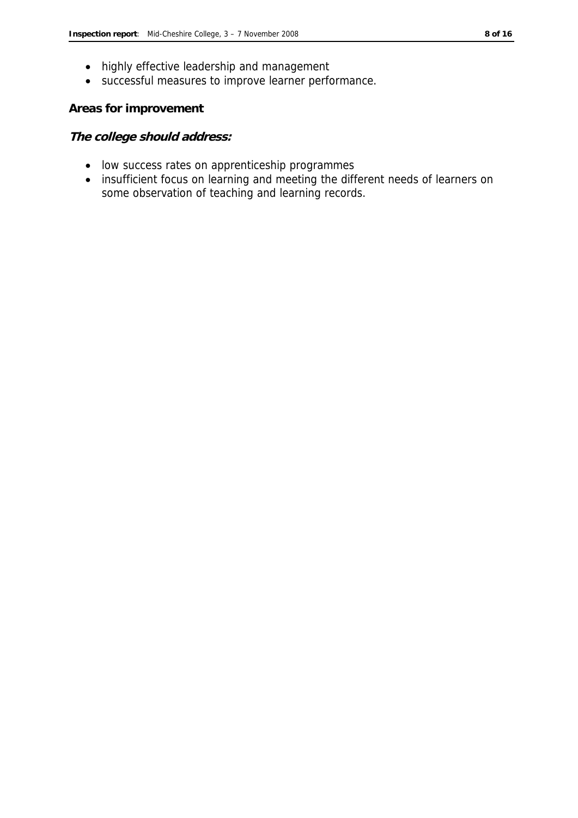- highly effective leadership and management
- successful measures to improve learner performance.

### **Areas for improvement**

### **The college should address:**

- low success rates on apprenticeship programmes
- insufficient focus on learning and meeting the different needs of learners on some observation of teaching and learning records.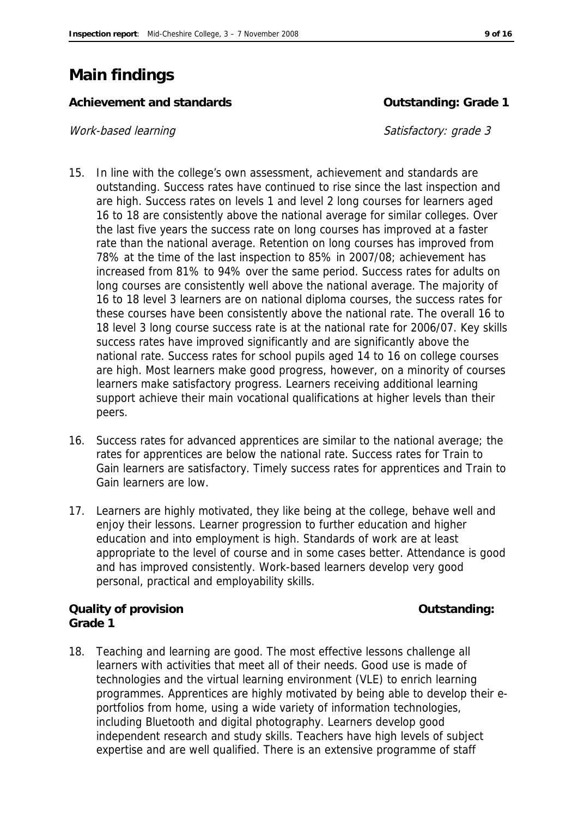## **Main findings**

Achievement and standards **Container and Standards Container and Standards Container and Standards Container and Standards Container and Standards Container and Standards Container and Standards Container and** 

### Work-based learning and satisfactory: grade 3

- 15. In line with the college's own assessment, achievement and standards are outstanding. Success rates have continued to rise since the last inspection and are high. Success rates on levels 1 and level 2 long courses for learners aged 16 to 18 are consistently above the national average for similar colleges. Over the last five years the success rate on long courses has improved at a faster rate than the national average. Retention on long courses has improved from 78% at the time of the last inspection to 85% in 2007/08; achievement has increased from 81% to 94% over the same period. Success rates for adults on long courses are consistently well above the national average. The majority of 16 to 18 level 3 learners are on national diploma courses, the success rates for these courses have been consistently above the national rate. The overall 16 to 18 level 3 long course success rate is at the national rate for 2006/07. Key skills success rates have improved significantly and are significantly above the national rate. Success rates for school pupils aged 14 to 16 on college courses are high. Most learners make good progress, however, on a minority of courses learners make satisfactory progress. Learners receiving additional learning support achieve their main vocational qualifications at higher levels than their peers.
- 16. Success rates for advanced apprentices are similar to the national average; the rates for apprentices are below the national rate. Success rates for Train to Gain learners are satisfactory. Timely success rates for apprentices and Train to Gain learners are low.
- 17. Learners are highly motivated, they like being at the college, behave well and enjoy their lessons. Learner progression to further education and higher education and into employment is high. Standards of work are at least appropriate to the level of course and in some cases better. Attendance is good and has improved consistently. Work-based learners develop very good personal, practical and employability skills.

**Quality of provision Outstanding: Grade 1**

18. Teaching and learning are good. The most effective lessons challenge all learners with activities that meet all of their needs. Good use is made of technologies and the virtual learning environment (VLE) to enrich learning programmes. Apprentices are highly motivated by being able to develop their eportfolios from home, using a wide variety of information technologies, including Bluetooth and digital photography. Learners develop good independent research and study skills. Teachers have high levels of subject expertise and are well qualified. There is an extensive programme of staff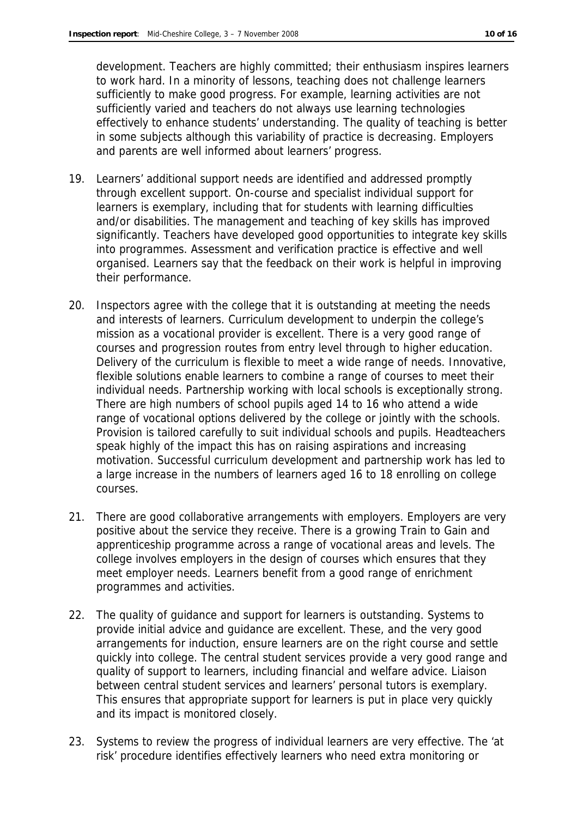development. Teachers are highly committed; their enthusiasm inspires learners to work hard. In a minority of lessons, teaching does not challenge learners sufficiently to make good progress. For example, learning activities are not sufficiently varied and teachers do not always use learning technologies effectively to enhance students' understanding. The quality of teaching is better in some subjects although this variability of practice is decreasing. Employers and parents are well informed about learners' progress.

- 19. Learners' additional support needs are identified and addressed promptly through excellent support. On-course and specialist individual support for learners is exemplary, including that for students with learning difficulties and/or disabilities. The management and teaching of key skills has improved significantly. Teachers have developed good opportunities to integrate key skills into programmes. Assessment and verification practice is effective and well organised. Learners say that the feedback on their work is helpful in improving their performance.
- 20. Inspectors agree with the college that it is outstanding at meeting the needs and interests of learners. Curriculum development to underpin the college's mission as a vocational provider is excellent. There is a very good range of courses and progression routes from entry level through to higher education. Delivery of the curriculum is flexible to meet a wide range of needs. Innovative, flexible solutions enable learners to combine a range of courses to meet their individual needs. Partnership working with local schools is exceptionally strong. There are high numbers of school pupils aged 14 to 16 who attend a wide range of vocational options delivered by the college or jointly with the schools. Provision is tailored carefully to suit individual schools and pupils. Headteachers speak highly of the impact this has on raising aspirations and increasing motivation. Successful curriculum development and partnership work has led to a large increase in the numbers of learners aged 16 to 18 enrolling on college courses.
- 21. There are good collaborative arrangements with employers. Employers are very positive about the service they receive. There is a growing Train to Gain and apprenticeship programme across a range of vocational areas and levels. The college involves employers in the design of courses which ensures that they meet employer needs. Learners benefit from a good range of enrichment programmes and activities.
- 22. The quality of guidance and support for learners is outstanding. Systems to provide initial advice and guidance are excellent. These, and the very good arrangements for induction, ensure learners are on the right course and settle quickly into college. The central student services provide a very good range and quality of support to learners, including financial and welfare advice. Liaison between central student services and learners' personal tutors is exemplary. This ensures that appropriate support for learners is put in place very quickly and its impact is monitored closely.
- 23. Systems to review the progress of individual learners are very effective. The 'at risk' procedure identifies effectively learners who need extra monitoring or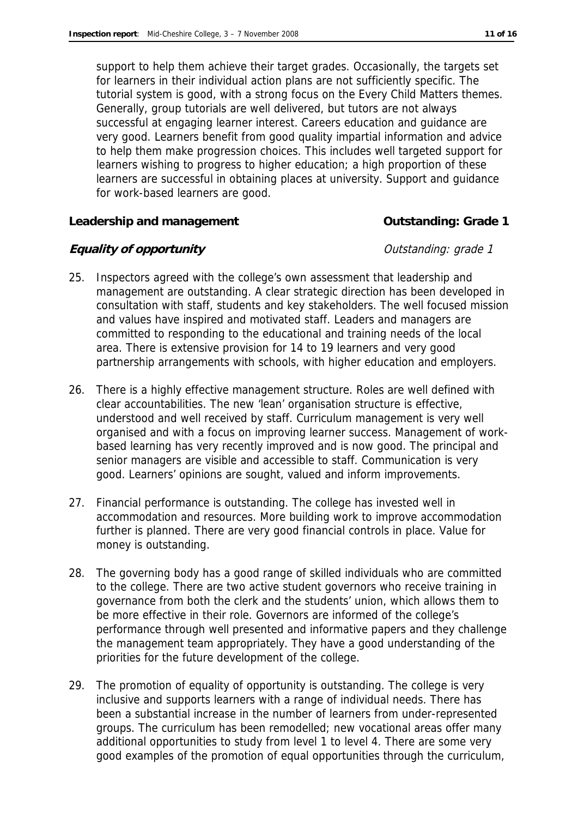support to help them achieve their target grades. Occasionally, the targets set for learners in their individual action plans are not sufficiently specific. The tutorial system is good, with a strong focus on the Every Child Matters themes. Generally, group tutorials are well delivered, but tutors are not always successful at engaging learner interest. Careers education and guidance are very good. Learners benefit from good quality impartial information and advice to help them make progression choices. This includes well targeted support for learners wishing to progress to higher education; a high proportion of these learners are successful in obtaining places at university. Support and guidance for work-based learners are good.

**Leadership and management Outstanding: Grade 1**

## **Equality of opportunity Equality of opportunity CHO**

- 25. Inspectors agreed with the college's own assessment that leadership and management are outstanding. A clear strategic direction has been developed in consultation with staff, students and key stakeholders. The well focused mission and values have inspired and motivated staff. Leaders and managers are committed to responding to the educational and training needs of the local area. There is extensive provision for 14 to 19 learners and very good partnership arrangements with schools, with higher education and employers.
- 26. There is a highly effective management structure. Roles are well defined with clear accountabilities. The new 'lean' organisation structure is effective, understood and well received by staff. Curriculum management is very well organised and with a focus on improving learner success. Management of workbased learning has very recently improved and is now good. The principal and senior managers are visible and accessible to staff. Communication is very good. Learners' opinions are sought, valued and inform improvements.
- 27. Financial performance is outstanding. The college has invested well in accommodation and resources. More building work to improve accommodation further is planned. There are very good financial controls in place. Value for money is outstanding.
- 28. The governing body has a good range of skilled individuals who are committed to the college. There are two active student governors who receive training in governance from both the clerk and the students' union, which allows them to be more effective in their role. Governors are informed of the college's performance through well presented and informative papers and they challenge the management team appropriately. They have a good understanding of the priorities for the future development of the college.
- 29. The promotion of equality of opportunity is outstanding. The college is very inclusive and supports learners with a range of individual needs. There has been a substantial increase in the number of learners from under-represented groups. The curriculum has been remodelled; new vocational areas offer many additional opportunities to study from level 1 to level 4. There are some very good examples of the promotion of equal opportunities through the curriculum,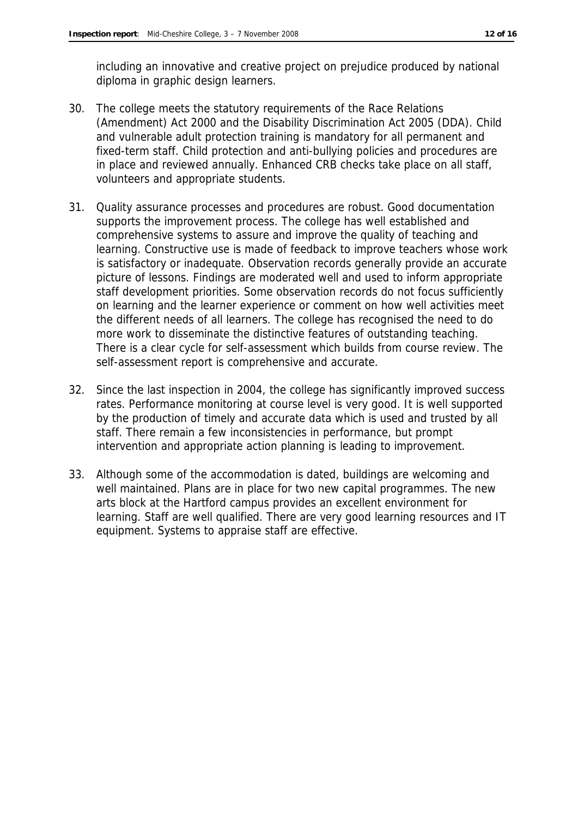including an innovative and creative project on prejudice produced by national diploma in graphic design learners.

- 30. The college meets the statutory requirements of the Race Relations (Amendment) Act 2000 and the Disability Discrimination Act 2005 (DDA). Child and vulnerable adult protection training is mandatory for all permanent and fixed-term staff. Child protection and anti-bullying policies and procedures are in place and reviewed annually. Enhanced CRB checks take place on all staff, volunteers and appropriate students.
- 31. Quality assurance processes and procedures are robust. Good documentation supports the improvement process. The college has well established and comprehensive systems to assure and improve the quality of teaching and learning. Constructive use is made of feedback to improve teachers whose work is satisfactory or inadequate. Observation records generally provide an accurate picture of lessons. Findings are moderated well and used to inform appropriate staff development priorities. Some observation records do not focus sufficiently on learning and the learner experience or comment on how well activities meet the different needs of all learners. The college has recognised the need to do more work to disseminate the distinctive features of outstanding teaching. There is a clear cycle for self-assessment which builds from course review. The self-assessment report is comprehensive and accurate.
- 32. Since the last inspection in 2004, the college has significantly improved success rates. Performance monitoring at course level is very good. It is well supported by the production of timely and accurate data which is used and trusted by all staff. There remain a few inconsistencies in performance, but prompt intervention and appropriate action planning is leading to improvement.
- 33. Although some of the accommodation is dated, buildings are welcoming and well maintained. Plans are in place for two new capital programmes. The new arts block at the Hartford campus provides an excellent environment for learning. Staff are well qualified. There are very good learning resources and IT equipment. Systems to appraise staff are effective.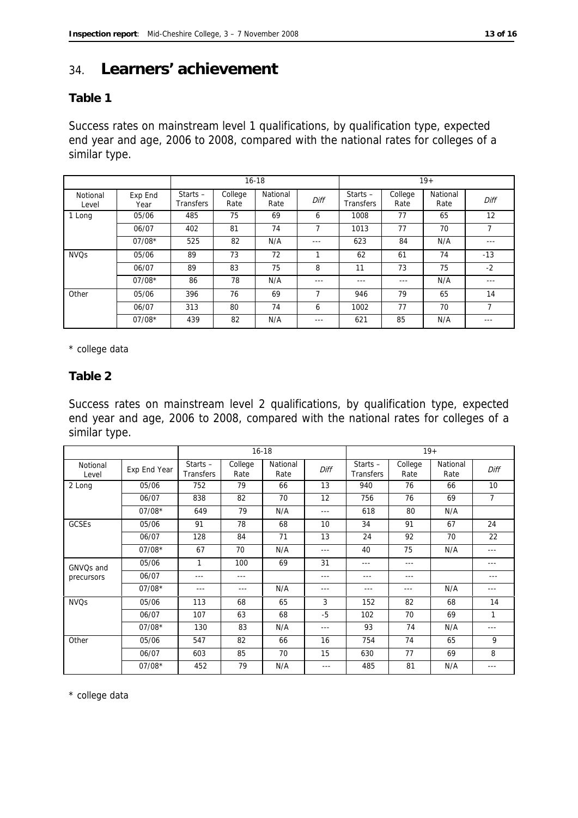## 34. **Learners' achievement**

### **Table 1**

Success rates on mainstream level 1 qualifications, by qualification type, expected end year and age, 2006 to 2008, compared with the national rates for colleges of a similar type.

|                        |                 | $16 - 18$                      |                 |                  |                |                                |                 | $19+$            |        |
|------------------------|-----------------|--------------------------------|-----------------|------------------|----------------|--------------------------------|-----------------|------------------|--------|
| Notional<br>Level      | Exp End<br>Year | Starts $-$<br><b>Transfers</b> | College<br>Rate | National<br>Rate | Diff           | Starts $-$<br><b>Transfers</b> | College<br>Rate | National<br>Rate | Diff   |
| 1 Long                 | 05/06           | 485                            | 75              | 69               | 6              | 1008                           | 77              | 65               | 12     |
|                        | 06/07           | 402                            | 81              | 74               | 7              | 1013                           | 77              | 70               | 7      |
|                        | $07/08*$        | 525                            | 82              | N/A              | ---            | 623                            | 84              | N/A              | ---    |
| <b>NVO<sub>S</sub></b> | 05/06           | 89                             | 73              | 72               | 1              | 62                             | 61              | 74               | $-13$  |
|                        | 06/07           | 89                             | 83              | 75               | 8              | 11                             | 73              | 75               | $-2$   |
|                        | $07/08*$        | 86                             | 78              | N/A              | $--$           | $--$                           | $---$           | N/A              | $-- -$ |
| Other                  | 05/06           | 396                            | 76              | 69               | $\overline{7}$ | 946                            | 79              | 65               | 14     |
|                        | 06/07           | 313                            | 80              | 74               | 6              | 1002                           | 77              | 70               |        |
|                        | $07/08*$        | 439                            | 82              | N/A              | ---            | 621                            | 85              | N/A              | ---    |

\* college data

**Table 2**

Success rates on mainstream level 2 qualifications, by qualification type, expected end year and age, 2006 to 2008, compared with the national rates for colleges of a similar type.

|                        |              | $16 - 18$                      |                 |                  | $19+$ |                                |                 |                  |      |
|------------------------|--------------|--------------------------------|-----------------|------------------|-------|--------------------------------|-----------------|------------------|------|
| Notional<br>Level      | Exp End Year | Starts $-$<br><b>Transfers</b> | College<br>Rate | National<br>Rate | Diff  | Starts $-$<br><b>Transfers</b> | College<br>Rate | National<br>Rate | Diff |
| 2 Long                 | 05/06        | 752                            | 79              | 66               | 13    | 940                            | 76              | 66               | 10   |
|                        | 06/07        | 838                            | 82              | 70               | 12    | 756                            | 76              | 69               | 7    |
|                        | $07/08*$     | 649                            | 79              | N/A              | ---   | 618                            | 80              | N/A              |      |
| <b>GCSEs</b>           | 05/06        | 91                             | 78              | 68               | 10    | 34                             | 91              | 67               | 24   |
|                        | 06/07        | 128                            | 84              | 71               | 13    | 24                             | 92              | 70               | 22   |
|                        | $07/08*$     | 67                             | 70              | N/A              | ---   | 40                             | 75              | N/A              | ---  |
| GNVQs and              | 05/06        | 1                              | 100             | 69               | 31    | $--$                           | $---$           |                  | ---  |
| precursors             | 06/07        | $- - -$                        | $--$            |                  | ---   | $- - -$                        | $---$           |                  | ---  |
|                        | $07/08*$     | $---$                          | $--$            | N/A              | ---   | $---$                          | $- - -$         | N/A              | ---  |
| <b>NVO<sub>S</sub></b> | 05/06        | 113                            | 68              | 65               | 3     | 152                            | 82              | 68               | 14   |
|                        | 06/07        | 107                            | 63              | 68               | $-5$  | 102                            | 70              | 69               | 1    |
|                        | $07/08*$     | 130                            | 83              | N/A              | ---   | 93                             | 74              | N/A              | $--$ |
| Other                  | 05/06        | 547                            | 82              | 66               | 16    | 754                            | 74              | 65               | 9    |
|                        | 06/07        | 603                            | 85              | 70               | 15    | 630                            | 77              | 69               | 8    |
|                        | $07/08*$     | 452                            | 79              | N/A              | ---   | 485                            | 81              | N/A              | ---  |

\* college data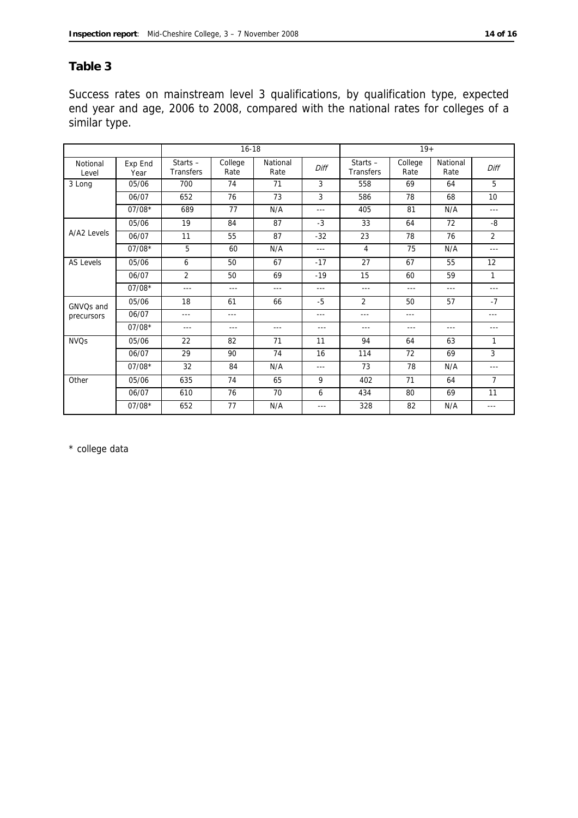## **Table 3**

Success rates on mainstream level 3 qualifications, by qualification type, expected end year and age, 2006 to 2008, compared with the national rates for colleges of a similar type.

|                        |                 | $16 - 18$               |                 |                  | $19+$   |                                |                 |                  |                |
|------------------------|-----------------|-------------------------|-----------------|------------------|---------|--------------------------------|-----------------|------------------|----------------|
| Notional<br>Level      | Exp End<br>Year | Starts $-$<br>Transfers | College<br>Rate | National<br>Rate | Diff    | Starts $-$<br><b>Transfers</b> | College<br>Rate | National<br>Rate | Diff           |
| 3 Long                 | 05/06           | 700                     | 74              | 71               | 3       | 558                            | 69              | 64               | 5              |
|                        | 06/07           | 652                     | 76              | 73               | 3       | 586                            | 78              | 68               | 10             |
|                        | $07/08*$        | 689                     | 77              | N/A              | ---     | 405                            | 81              | N/A              | $- - -$        |
|                        | 05/06           | 19                      | 84              | 87               | $-3$    | 33                             | 64              | 72               | -8             |
| A/A2 Levels            | 06/07           | 11                      | 55              | 87               | $-32$   | 23                             | 78              | 76               | $\overline{2}$ |
|                        | $07/08*$        | 5                       | 60              | N/A              | $- - -$ | 4                              | 75              | N/A              | $- - -$        |
| AS Levels              | 05/06           | 6                       | 50              | 67               | $-17$   | 27                             | 67              | 55               | 12             |
|                        | 06/07           | $\overline{2}$          | 50              | 69               | $-19$   | 15                             | 60              | 59               | 1              |
|                        | $07/08*$        | $\frac{1}{2}$           | ---             | $- - -$          | ---     | ---                            | ---             | $- - -$          | $- - -$        |
| GNVO <sub>S</sub> and  | 05/06           | 18                      | 61              | 66               | $-5$    | $\overline{2}$                 | 50              | 57               | $-7$           |
| precursors             | 06/07           | $\frac{1}{2}$           | $- - -$         |                  | ---     | ---                            | $\cdots$        |                  | ---            |
|                        | $07/08*$        | $\frac{1}{2}$           | ---             | $---$            | $- - -$ | ---                            | $---$           | $- - -$          | $- - -$        |
| <b>NVO<sub>S</sub></b> | 05/06           | 22                      | 82              | 71               | 11      | 94                             | 64              | 63               | 1              |
|                        | 06/07           | 29                      | 90              | 74               | 16      | 114                            | 72              | 69               | 3              |
|                        | $07/08*$        | 32                      | 84              | N/A              | ---     | 73                             | 78              | N/A              | $- - -$        |
| Other                  | 05/06           | 635                     | 74              | 65               | 9       | 402                            | 71              | 64               | $\overline{7}$ |
|                        | 06/07           | 610                     | 76              | 70               | 6       | 434                            | 80              | 69               | 11             |
|                        | $07/08*$        | 652                     | 77              | N/A              | $- - -$ | 328                            | 82              | N/A              | $- - -$        |

\* college data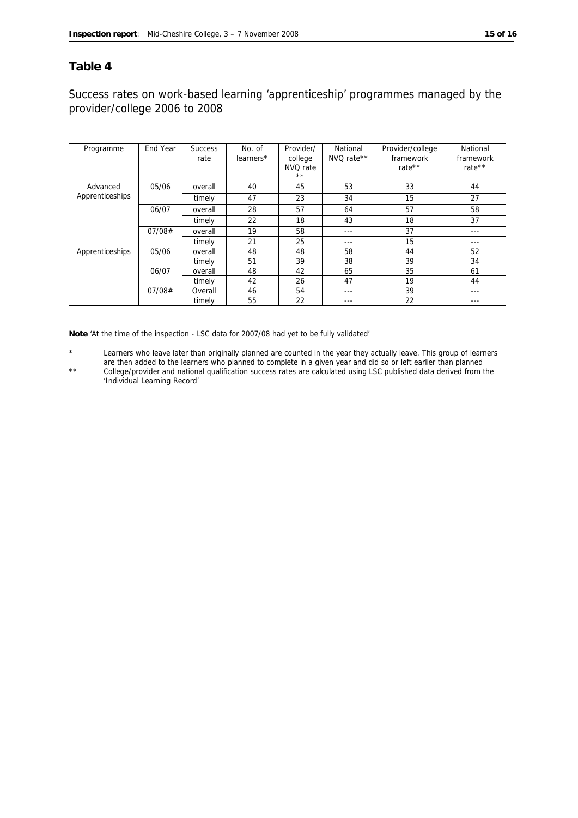### **Table 4**

## Success rates on work-based learning 'apprenticeship' programmes managed by the provider/college 2006 to 2008

| Programme       | End Year | <b>Success</b><br>rate | No. of<br>learners* | Provider/<br>college<br>NVQ rate<br>$\star\star$ | National<br>NVQ rate** | Provider/college<br>framework<br>rate $**$ | National<br>framework<br>rate $**$ |
|-----------------|----------|------------------------|---------------------|--------------------------------------------------|------------------------|--------------------------------------------|------------------------------------|
| Advanced        | 05/06    | overall                | 40                  | 45                                               | 53                     | 33                                         | 44                                 |
| Apprenticeships |          | timely                 | 47                  | 23                                               | 34                     | 15                                         | 27                                 |
|                 | 06/07    | overall                | 28                  | 57                                               | 64                     | 57                                         | 58                                 |
|                 |          | timely                 | 22                  | 18                                               | 43                     | 18                                         | 37                                 |
|                 | 07/08#   | overall                | 19                  | 58                                               | ---                    | 37                                         | $- - -$                            |
|                 |          | timely                 | 21                  | 25                                               | ---                    | 15                                         | $\frac{1}{2}$                      |
| Apprenticeships | 05/06    | overall                | 48                  | 48                                               | 58                     | 44                                         | 52                                 |
|                 |          | timely                 | 51                  | 39                                               | 38                     | 39                                         | 34                                 |
|                 | 06/07    | overall                | 48                  | 42                                               | 65                     | 35                                         | 61                                 |
|                 |          | timely                 | 42                  | 26                                               | 47                     | 19                                         | 44                                 |
|                 | 07/08#   | Overall                | 46                  | 54                                               | $- - -$                | 39                                         | $--$                               |
|                 |          | timely                 | 55                  | 22                                               |                        | 22                                         |                                    |

**Note** 'At the time of the inspection - LSC data for 2007/08 had yet to be fully validated'

Learners who leave later than originally planned are counted in the year they actually leave. This group of learners are then added to the learners who planned to complete in a given year and did so or left earlier than planned

\*\* College/provider and national qualification success rates are calculated using LSC published data derived from the 'Individual Learning Record'